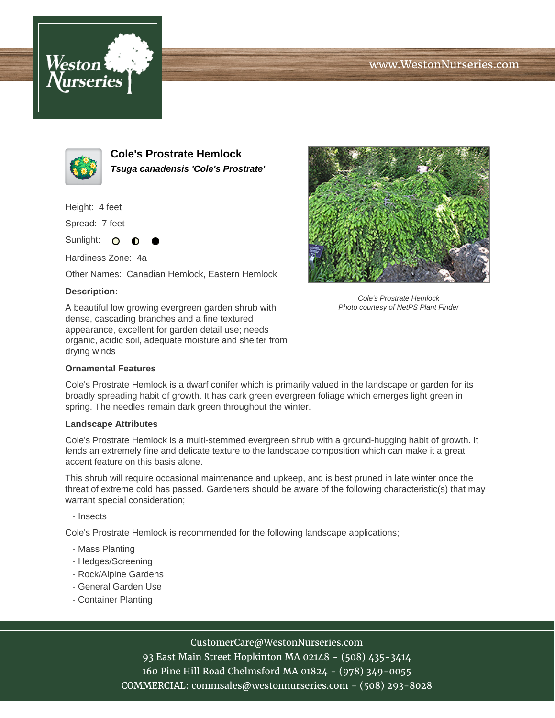## www.WestonNurseries.com





**Cole's Prostrate Hemlock Tsuga canadensis 'Cole's Prostrate'**

Height: 4 feet

Spread: 7 feet

Sunlight: O ∩

Hardiness Zone: 4a

Other Names: Canadian Hemlock, Eastern Hemlock

## **Description:**

A beautiful low growing evergreen garden shrub with dense, cascading branches and a fine textured appearance, excellent for garden detail use; needs organic, acidic soil, adequate moisture and shelter from drying winds



Cole's Prostrate Hemlock is a dwarf conifer which is primarily valued in the landscape or garden for its broadly spreading habit of growth. It has dark green evergreen foliage which emerges light green in spring. The needles remain dark green throughout the winter.

## **Landscape Attributes**

Cole's Prostrate Hemlock is a multi-stemmed evergreen shrub with a ground-hugging habit of growth. It lends an extremely fine and delicate texture to the landscape composition which can make it a great accent feature on this basis alone.

This shrub will require occasional maintenance and upkeep, and is best pruned in late winter once the threat of extreme cold has passed. Gardeners should be aware of the following characteristic(s) that may warrant special consideration;

- Insects

Cole's Prostrate Hemlock is recommended for the following landscape applications;

- Mass Planting
- Hedges/Screening
- Rock/Alpine Gardens
- General Garden Use
- Container Planting



CustomerCare@WestonNurseries.com 93 East Main Street Hopkinton MA 02148 - (508) 435-3414 160 Pine Hill Road Chelmsford MA 01824 - (978) 349-0055 COMMERCIAL: commsales@westonnurseries.com - (508) 293-8028



Cole's Prostrate Hemlock Photo courtesy of NetPS Plant Finder